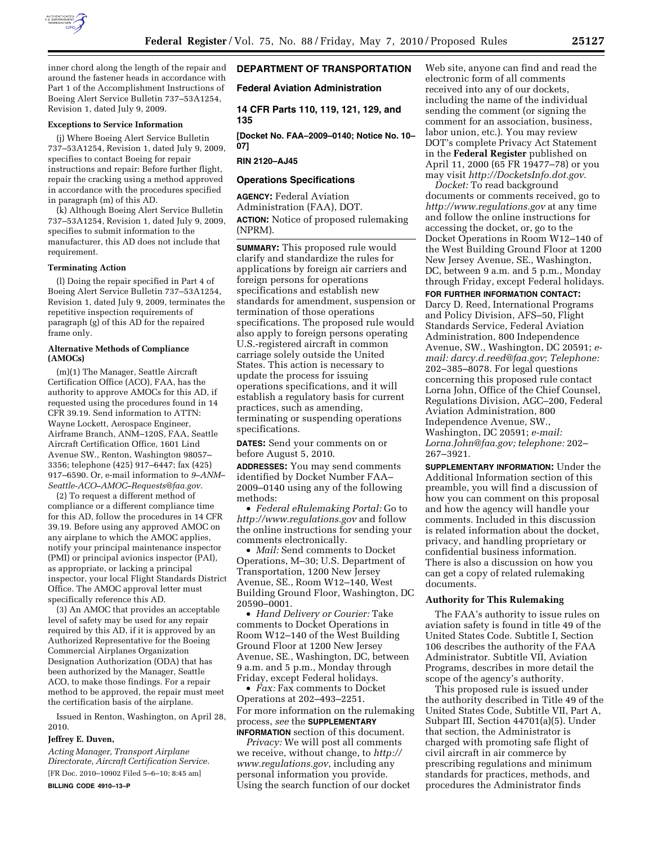

inner chord along the length of the repair and around the fastener heads in accordance with Part 1 of the Accomplishment Instructions of Boeing Alert Service Bulletin 737–53A1254, Revision 1, dated July 9, 2009.

### **Exceptions to Service Information**

(j) Where Boeing Alert Service Bulletin 737–53A1254, Revision 1, dated July 9, 2009, specifies to contact Boeing for repair instructions and repair: Before further flight, repair the cracking using a method approved in accordance with the procedures specified in paragraph (m) of this AD.

(k) Although Boeing Alert Service Bulletin 737–53A1254, Revision 1, dated July 9, 2009, specifies to submit information to the manufacturer, this AD does not include that requirement.

#### **Terminating Action**

(l) Doing the repair specified in Part 4 of Boeing Alert Service Bulletin 737–53A1254, Revision 1, dated July 9, 2009, terminates the repetitive inspection requirements of paragraph (g) of this AD for the repaired frame only.

## **Alternative Methods of Compliance (AMOCs)**

(m)(1) The Manager, Seattle Aircraft Certification Office (ACO), FAA, has the authority to approve AMOCs for this AD, if requested using the procedures found in 14 CFR 39.19. Send information to ATTN: Wayne Lockett, Aerospace Engineer, Airframe Branch, ANM–120S, FAA, Seattle Aircraft Certification Office, 1601 Lind Avenue SW., Renton, Washington 98057– 3356; telephone (425) 917–6447; fax (425) 917–6590. Or, e-mail information to *9–ANM– Seattle-ACO–AMOC–Requests@faa.gov*.

(2) To request a different method of compliance or a different compliance time for this AD, follow the procedures in 14 CFR 39.19. Before using any approved AMOC on any airplane to which the AMOC applies, notify your principal maintenance inspector (PMI) or principal avionics inspector (PAI), as appropriate, or lacking a principal inspector, your local Flight Standards District Office. The AMOC approval letter must specifically reference this AD.

(3) An AMOC that provides an acceptable level of safety may be used for any repair required by this AD, if it is approved by an Authorized Representative for the Boeing Commercial Airplanes Organization Designation Authorization (ODA) that has been authorized by the Manager, Seattle ACO, to make those findings. For a repair method to be approved, the repair must meet the certification basis of the airplane.

Issued in Renton, Washington, on April 28, 2010.

### **Jeffrey E. Duven,**

*Acting Manager, Transport Airplane Directorate, Aircraft Certification Service.*  [FR Doc. 2010–10902 Filed 5–6–10; 8:45 am] **BILLING CODE 4910–13–P** 

# **DEPARTMENT OF TRANSPORTATION**

### **Federal Aviation Administration**

**14 CFR Parts 110, 119, 121, 129, and 135** 

**[Docket No. FAA–2009–0140; Notice No. 10– 07]** 

### **RIN 2120–AJ45**

## **Operations Specifications**

**AGENCY:** Federal Aviation Administration (FAA), DOT. **ACTION:** Notice of proposed rulemaking (NPRM).

**SUMMARY:** This proposed rule would clarify and standardize the rules for applications by foreign air carriers and foreign persons for operations specifications and establish new standards for amendment, suspension or termination of those operations specifications. The proposed rule would also apply to foreign persons operating U.S.-registered aircraft in common carriage solely outside the United States. This action is necessary to update the process for issuing operations specifications, and it will establish a regulatory basis for current practices, such as amending, terminating or suspending operations specifications.

**DATES:** Send your comments on or before August 5, 2010.

**ADDRESSES:** You may send comments identified by Docket Number FAA– 2009–0140 using any of the following methods:

• *Federal eRulemaking Portal:* Go to *http://www.regulations.gov* and follow the online instructions for sending your comments electronically.

• *Mail:* Send comments to Docket Operations, M–30; U.S. Department of Transportation, 1200 New Jersey Avenue, SE., Room W12–140, West Building Ground Floor, Washington, DC 20590–0001.

• *Hand Delivery or Courier:* Take comments to Docket Operations in Room W12–140 of the West Building Ground Floor at 1200 New Jersey Avenue, SE., Washington, DC, between 9 a.m. and 5 p.m., Monday through Friday, except Federal holidays.

• *Fax:* Fax comments to Docket Operations at 202–493–2251. For more information on the rulemaking process, *see* the **SUPPLEMENTARY**

**INFORMATION** section of this document. *Privacy:* We will post all comments we receive, without change, to *http:// www.regulations.gov*, including any personal information you provide. Using the search function of our docket Web site, anyone can find and read the electronic form of all comments received into any of our dockets, including the name of the individual sending the comment (or signing the comment for an association, business, labor union, etc.). You may review DOT's complete Privacy Act Statement in the **Federal Register** published on April 11, 2000 (65 FR 19477–78) or you may visit *http://DocketsInfo.dot.gov*.

*Docket:* To read background documents or comments received, go to *http://www.regulations.gov* at any time and follow the online instructions for accessing the docket, or, go to the Docket Operations in Room W12–140 of the West Building Ground Floor at 1200 New Jersey Avenue, SE., Washington, DC, between 9 a.m. and 5 p.m., Monday through Friday, except Federal holidays.

## **FOR FURTHER INFORMATION CONTACT:**

Darcy D. Reed, International Programs and Policy Division, AFS–50, Flight Standards Service, Federal Aviation Administration, 800 Independence Avenue, SW., Washington, DC 20591; *email: darcy.d.reed@faa.gov*; *Telephone:*  202–385–8078. For legal questions concerning this proposed rule contact Lorna John, Office of the Chief Counsel, Regulations Division, AGC–200, Federal Aviation Administration, 800 Independence Avenue, SW., Washington, DC 20591; *e-mail: Lorna.John@faa.gov; telephone:* 202– 267–3921.

**SUPPLEMENTARY INFORMATION:** Under the Additional Information section of this preamble, you will find a discussion of how you can comment on this proposal and how the agency will handle your comments. Included in this discussion is related information about the docket, privacy, and handling proprietary or confidential business information. There is also a discussion on how you can get a copy of related rulemaking documents.

### **Authority for This Rulemaking**

The FAA's authority to issue rules on aviation safety is found in title 49 of the United States Code. Subtitle I, Section 106 describes the authority of the FAA Administrator. Subtitle VII, Aviation Programs, describes in more detail the scope of the agency's authority.

This proposed rule is issued under the authority described in Title 49 of the United States Code, Subtitle VII, Part A, Subpart III, Section 44701(a)(5). Under that section, the Administrator is charged with promoting safe flight of civil aircraft in air commerce by prescribing regulations and minimum standards for practices, methods, and procedures the Administrator finds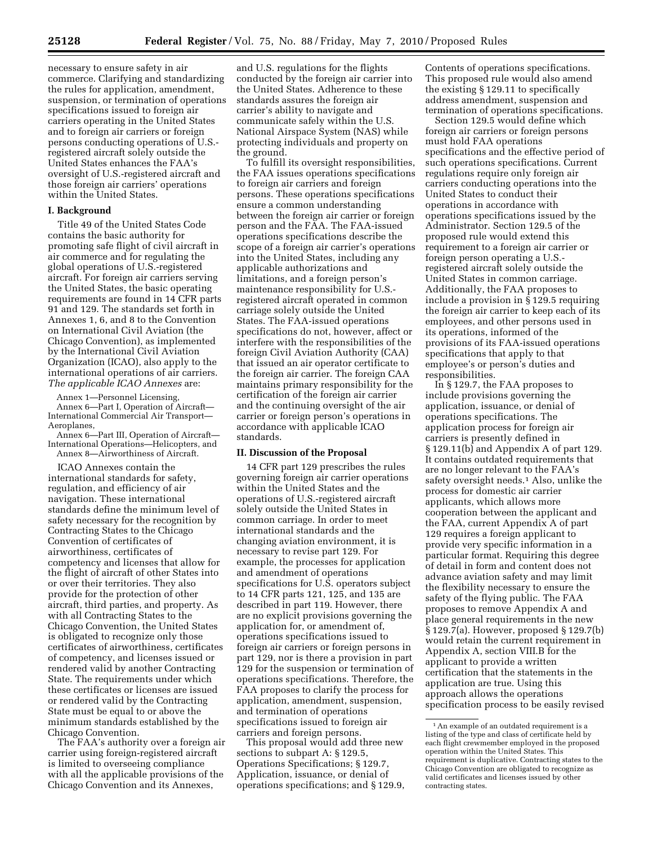necessary to ensure safety in air commerce. Clarifying and standardizing the rules for application, amendment, suspension, or termination of operations specifications issued to foreign air carriers operating in the United States and to foreign air carriers or foreign persons conducting operations of U.S. registered aircraft solely outside the United States enhances the FAA's oversight of U.S.-registered aircraft and those foreign air carriers' operations within the United States.

## **I. Background**

Title 49 of the United States Code contains the basic authority for promoting safe flight of civil aircraft in air commerce and for regulating the global operations of U.S.-registered aircraft. For foreign air carriers serving the United States, the basic operating requirements are found in 14 CFR parts 91 and 129. The standards set forth in Annexes 1, 6, and 8 to the Convention on International Civil Aviation (the Chicago Convention), as implemented by the International Civil Aviation Organization (ICAO), also apply to the international operations of air carriers. *The applicable ICAO Annexes* are:

Annex 1—Personnel Licensing, Annex 6—Part I, Operation of Aircraft— International Commercial Air Transport— Aeroplanes,

Annex 6—Part III, Operation of Aircraft— International Operations—Helicopters, and Annex 8—Airworthiness of Aircraft.

ICAO Annexes contain the international standards for safety, regulation, and efficiency of air navigation. These international standards define the minimum level of safety necessary for the recognition by Contracting States to the Chicago Convention of certificates of airworthiness, certificates of competency and licenses that allow for the flight of aircraft of other States into or over their territories. They also provide for the protection of other aircraft, third parties, and property. As with all Contracting States to the Chicago Convention, the United States is obligated to recognize only those certificates of airworthiness, certificates of competency, and licenses issued or rendered valid by another Contracting State. The requirements under which these certificates or licenses are issued or rendered valid by the Contracting State must be equal to or above the minimum standards established by the Chicago Convention.

The FAA's authority over a foreign air carrier using foreign-registered aircraft is limited to overseeing compliance with all the applicable provisions of the Chicago Convention and its Annexes,

and U.S. regulations for the flights conducted by the foreign air carrier into the United States. Adherence to these standards assures the foreign air carrier's ability to navigate and communicate safely within the U.S. National Airspace System (NAS) while protecting individuals and property on the ground.

To fulfill its oversight responsibilities, the FAA issues operations specifications to foreign air carriers and foreign persons. These operations specifications ensure a common understanding between the foreign air carrier or foreign person and the FAA. The FAA-issued operations specifications describe the scope of a foreign air carrier's operations into the United States, including any applicable authorizations and limitations, and a foreign person's maintenance responsibility for U.S. registered aircraft operated in common carriage solely outside the United States. The FAA-issued operations specifications do not, however, affect or interfere with the responsibilities of the foreign Civil Aviation Authority (CAA) that issued an air operator certificate to the foreign air carrier. The foreign CAA maintains primary responsibility for the certification of the foreign air carrier and the continuing oversight of the air carrier or foreign person's operations in accordance with applicable ICAO standards.

#### **II. Discussion of the Proposal**

14 CFR part 129 prescribes the rules governing foreign air carrier operations within the United States and the operations of U.S.-registered aircraft solely outside the United States in common carriage. In order to meet international standards and the changing aviation environment, it is necessary to revise part 129. For example, the processes for application and amendment of operations specifications for U.S. operators subject to 14 CFR parts 121, 125, and 135 are described in part 119. However, there are no explicit provisions governing the application for, or amendment of, operations specifications issued to foreign air carriers or foreign persons in part 129, nor is there a provision in part 129 for the suspension or termination of operations specifications. Therefore, the FAA proposes to clarify the process for application, amendment, suspension, and termination of operations specifications issued to foreign air carriers and foreign persons.

This proposal would add three new sections to subpart A: § 129.5, Operations Specifications; § 129.7, Application, issuance, or denial of operations specifications; and § 129.9, Contents of operations specifications. This proposed rule would also amend the existing § 129.11 to specifically address amendment, suspension and termination of operations specifications.

Section 129.5 would define which foreign air carriers or foreign persons must hold FAA operations specifications and the effective period of such operations specifications. Current regulations require only foreign air carriers conducting operations into the United States to conduct their operations in accordance with operations specifications issued by the Administrator. Section 129.5 of the proposed rule would extend this requirement to a foreign air carrier or foreign person operating a U.S. registered aircraft solely outside the United States in common carriage. Additionally, the FAA proposes to include a provision in § 129.5 requiring the foreign air carrier to keep each of its employees, and other persons used in its operations, informed of the provisions of its FAA-issued operations specifications that apply to that employee's or person's duties and responsibilities.

In § 129.7, the FAA proposes to include provisions governing the application, issuance, or denial of operations specifications. The application process for foreign air carriers is presently defined in § 129.11(b) and Appendix A of part 129. It contains outdated requirements that are no longer relevant to the FAA's safety oversight needs.<sup>1</sup> Also, unlike the process for domestic air carrier applicants, which allows more cooperation between the applicant and the FAA, current Appendix A of part 129 requires a foreign applicant to provide very specific information in a particular format. Requiring this degree of detail in form and content does not advance aviation safety and may limit the flexibility necessary to ensure the safety of the flying public. The FAA proposes to remove Appendix A and place general requirements in the new § 129.7(a). However, proposed § 129.7(b) would retain the current requirement in Appendix A, section VIII.B for the applicant to provide a written certification that the statements in the application are true. Using this approach allows the operations specification process to be easily revised

<sup>&</sup>lt;sup>1</sup> An example of an outdated requirement is a listing of the type and class of certificate held by each flight crewmember employed in the proposed operation within the United States. This requirement is duplicative. Contracting states to the Chicago Convention are obligated to recognize as valid certificates and licenses issued by other contracting states.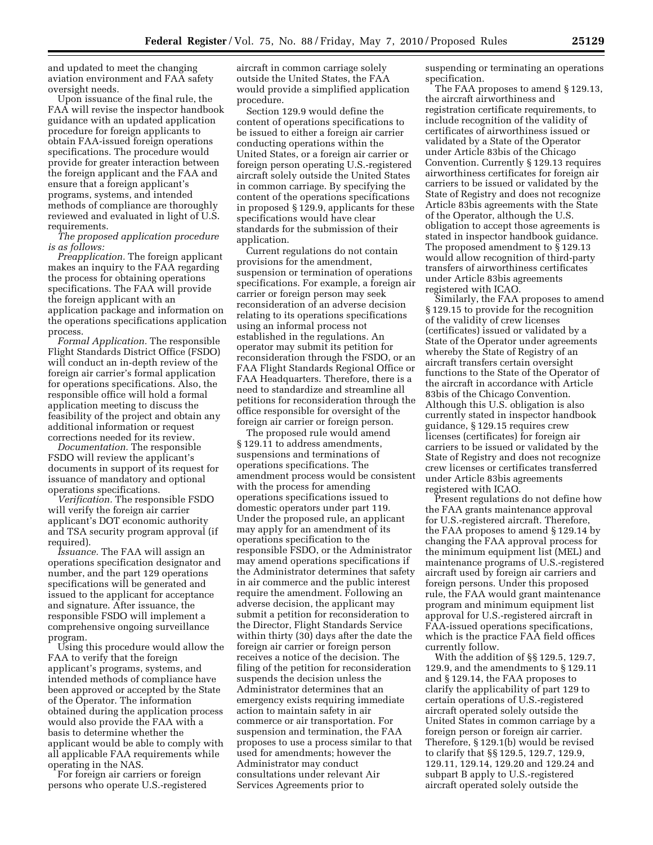and updated to meet the changing aviation environment and FAA safety oversight needs.

Upon issuance of the final rule, the FAA will revise the inspector handbook guidance with an updated application procedure for foreign applicants to obtain FAA-issued foreign operations specifications. The procedure would provide for greater interaction between the foreign applicant and the FAA and ensure that a foreign applicant's programs, systems, and intended methods of compliance are thoroughly reviewed and evaluated in light of U.S. requirements.

*The proposed application procedure is as follows:* 

*Preapplication.* The foreign applicant makes an inquiry to the FAA regarding the process for obtaining operations specifications. The FAA will provide the foreign applicant with an application package and information on the operations specifications application process.

*Formal Application.* The responsible Flight Standards District Office (FSDO) will conduct an in-depth review of the foreign air carrier's formal application for operations specifications. Also, the responsible office will hold a formal application meeting to discuss the feasibility of the project and obtain any additional information or request corrections needed for its review.

*Documentation.* The responsible FSDO will review the applicant's documents in support of its request for issuance of mandatory and optional operations specifications.

*Verification.* The responsible FSDO will verify the foreign air carrier applicant's DOT economic authority and TSA security program approval (if required).

*Issuance.* The FAA will assign an operations specification designator and number, and the part 129 operations specifications will be generated and issued to the applicant for acceptance and signature. After issuance, the responsible FSDO will implement a comprehensive ongoing surveillance program.

Using this procedure would allow the FAA to verify that the foreign applicant's programs, systems, and intended methods of compliance have been approved or accepted by the State of the Operator. The information obtained during the application process would also provide the FAA with a basis to determine whether the applicant would be able to comply with all applicable FAA requirements while operating in the NAS.

For foreign air carriers or foreign persons who operate U.S.-registered aircraft in common carriage solely outside the United States, the FAA would provide a simplified application procedure.

Section 129.9 would define the content of operations specifications to be issued to either a foreign air carrier conducting operations within the United States, or a foreign air carrier or foreign person operating U.S.-registered aircraft solely outside the United States in common carriage. By specifying the content of the operations specifications in proposed § 129.9, applicants for these specifications would have clear standards for the submission of their application.

Current regulations do not contain provisions for the amendment, suspension or termination of operations specifications. For example, a foreign air carrier or foreign person may seek reconsideration of an adverse decision relating to its operations specifications using an informal process not established in the regulations. An operator may submit its petition for reconsideration through the FSDO, or an FAA Flight Standards Regional Office or FAA Headquarters. Therefore, there is a need to standardize and streamline all petitions for reconsideration through the office responsible for oversight of the foreign air carrier or foreign person.

The proposed rule would amend § 129.11 to address amendments, suspensions and terminations of operations specifications. The amendment process would be consistent with the process for amending operations specifications issued to domestic operators under part 119. Under the proposed rule, an applicant may apply for an amendment of its operations specification to the responsible FSDO, or the Administrator may amend operations specifications if the Administrator determines that safety in air commerce and the public interest require the amendment. Following an adverse decision, the applicant may submit a petition for reconsideration to the Director, Flight Standards Service within thirty (30) days after the date the foreign air carrier or foreign person receives a notice of the decision. The filing of the petition for reconsideration suspends the decision unless the Administrator determines that an emergency exists requiring immediate action to maintain safety in air commerce or air transportation. For suspension and termination, the FAA proposes to use a process similar to that used for amendments; however the Administrator may conduct consultations under relevant Air Services Agreements prior to

suspending or terminating an operations specification.

The FAA proposes to amend § 129.13, the aircraft airworthiness and registration certificate requirements, to include recognition of the validity of certificates of airworthiness issued or validated by a State of the Operator under Article 83bis of the Chicago Convention. Currently § 129.13 requires airworthiness certificates for foreign air carriers to be issued or validated by the State of Registry and does not recognize Article 83bis agreements with the State of the Operator, although the U.S. obligation to accept those agreements is stated in inspector handbook guidance. The proposed amendment to § 129.13 would allow recognition of third-party transfers of airworthiness certificates under Article 83bis agreements registered with ICAO.

Similarly, the FAA proposes to amend § 129.15 to provide for the recognition of the validity of crew licenses (certificates) issued or validated by a State of the Operator under agreements whereby the State of Registry of an aircraft transfers certain oversight functions to the State of the Operator of the aircraft in accordance with Article 83bis of the Chicago Convention. Although this U.S. obligation is also currently stated in inspector handbook guidance, § 129.15 requires crew licenses (certificates) for foreign air carriers to be issued or validated by the State of Registry and does not recognize crew licenses or certificates transferred under Article 83bis agreements registered with ICAO.

Present regulations do not define how the FAA grants maintenance approval for U.S.-registered aircraft. Therefore, the FAA proposes to amend § 129.14 by changing the FAA approval process for the minimum equipment list (MEL) and maintenance programs of U.S.-registered aircraft used by foreign air carriers and foreign persons. Under this proposed rule, the FAA would grant maintenance program and minimum equipment list approval for U.S.-registered aircraft in FAA-issued operations specifications, which is the practice FAA field offices currently follow.

With the addition of §§ 129.5, 129.7, 129.9, and the amendments to § 129.11 and § 129.14, the FAA proposes to clarify the applicability of part 129 to certain operations of U.S.-registered aircraft operated solely outside the United States in common carriage by a foreign person or foreign air carrier. Therefore, § 129.1(b) would be revised to clarify that §§ 129.5, 129.7, 129.9, 129.11, 129.14, 129.20 and 129.24 and subpart B apply to U.S.-registered aircraft operated solely outside the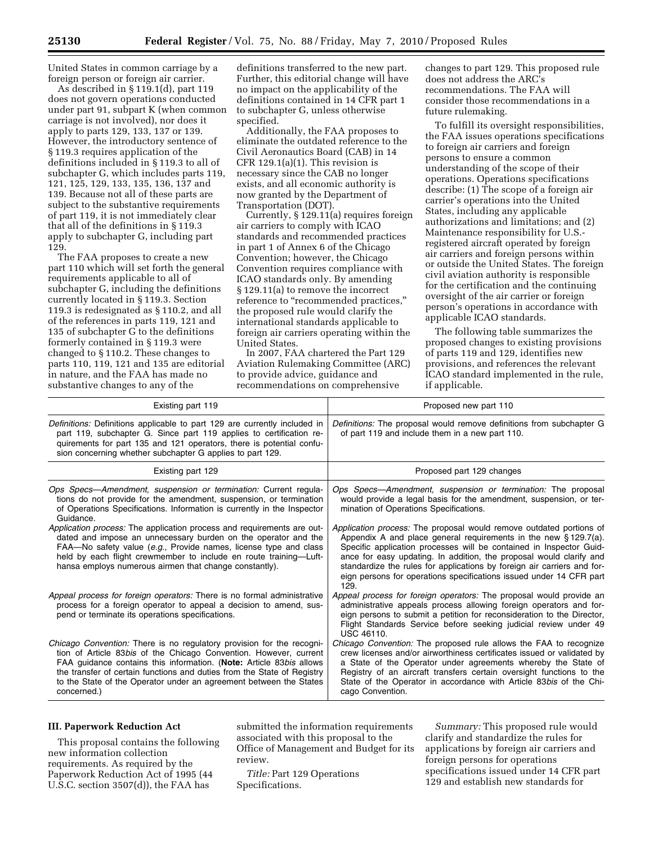United States in common carriage by a foreign person or foreign air carrier.

As described in § 119.1(d), part 119 does not govern operations conducted under part 91, subpart K (when common carriage is not involved), nor does it apply to parts 129, 133, 137 or 139. However, the introductory sentence of § 119.3 requires application of the definitions included in § 119.3 to all of subchapter G, which includes parts 119, 121, 125, 129, 133, 135, 136, 137 and 139. Because not all of these parts are subject to the substantive requirements of part 119, it is not immediately clear that all of the definitions in § 119.3 apply to subchapter G, including part 129.

The FAA proposes to create a new part 110 which will set forth the general requirements applicable to all of subchapter G, including the definitions currently located in § 119.3. Section 119.3 is redesignated as § 110.2, and all of the references in parts 119, 121 and 135 of subchapter G to the definitions formerly contained in § 119.3 were changed to § 110.2. These changes to parts 110, 119, 121 and 135 are editorial in nature, and the FAA has made no substantive changes to any of the

definitions transferred to the new part. Further, this editorial change will have no impact on the applicability of the definitions contained in 14 CFR part 1 to subchapter G, unless otherwise specified.

Additionally, the FAA proposes to eliminate the outdated reference to the Civil Aeronautics Board (CAB) in 14 CFR 129.1(a)(1). This revision is necessary since the CAB no longer exists, and all economic authority is now granted by the Department of Transportation (DOT).

Currently, § 129.11(a) requires foreign air carriers to comply with ICAO standards and recommended practices in part 1 of Annex 6 of the Chicago Convention; however, the Chicago Convention requires compliance with ICAO standards only. By amending § 129.11(a) to remove the incorrect reference to "recommended practices," the proposed rule would clarify the international standards applicable to foreign air carriers operating within the United States.

In 2007, FAA chartered the Part 129 Aviation Rulemaking Committee (ARC) to provide advice, guidance and recommendations on comprehensive

changes to part 129. This proposed rule does not address the ARC's recommendations. The FAA will consider those recommendations in a future rulemaking.

To fulfill its oversight responsibilities, the FAA issues operations specifications to foreign air carriers and foreign persons to ensure a common understanding of the scope of their operations. Operations specifications describe: (1) The scope of a foreign air carrier's operations into the United States, including any applicable authorizations and limitations; and (2) Maintenance responsibility for U.S. registered aircraft operated by foreign air carriers and foreign persons within or outside the United States. The foreign civil aviation authority is responsible for the certification and the continuing oversight of the air carrier or foreign person's operations in accordance with applicable ICAO standards.

The following table summarizes the proposed changes to existing provisions of parts 119 and 129, identifies new provisions, and references the relevant ICAO standard implemented in the rule, if applicable.

| Existing part 119                                                                                                                                                                                                                                                                                                                                                                        | Proposed new part 110                                                                                                                                                                                                                                                                                                                                                                                                                               |
|------------------------------------------------------------------------------------------------------------------------------------------------------------------------------------------------------------------------------------------------------------------------------------------------------------------------------------------------------------------------------------------|-----------------------------------------------------------------------------------------------------------------------------------------------------------------------------------------------------------------------------------------------------------------------------------------------------------------------------------------------------------------------------------------------------------------------------------------------------|
| Definitions: Definitions applicable to part 129 are currently included in<br>part 119, subchapter G. Since part 119 applies to certification re-<br>quirements for part 135 and 121 operators, there is potential confu-<br>sion concerning whether subchapter G applies to part 129.                                                                                                    | Definitions: The proposal would remove definitions from subchapter G<br>of part 119 and include them in a new part 110.                                                                                                                                                                                                                                                                                                                             |
| Existing part 129                                                                                                                                                                                                                                                                                                                                                                        | Proposed part 129 changes                                                                                                                                                                                                                                                                                                                                                                                                                           |
| Ops Specs-Amendment, suspension or termination: Current regula-<br>tions do not provide for the amendment, suspension, or termination<br>of Operations Specifications. Information is currently in the Inspector<br>Guidance.                                                                                                                                                            | Ops Specs-Amendment, suspension or termination: The proposal<br>would provide a legal basis for the amendment, suspension, or ter-<br>mination of Operations Specifications.                                                                                                                                                                                                                                                                        |
| Application process: The application process and requirements are out-<br>dated and impose an unnecessary burden on the operator and the<br>FAA—No safety value (e.g., Provide names, license type and class<br>held by each flight crewmember to include en route training—Luft-<br>hansa employs numerous airmen that change constantly).                                              | Application process: The proposal would remove outdated portions of<br>Appendix A and place general requirements in the new $\S 129.7(a)$ .<br>Specific application processes will be contained in Inspector Guid-<br>ance for easy updating. In addition, the proposal would clarify and<br>standardize the rules for applications by foreign air carriers and for-<br>eign persons for operations specifications issued under 14 CFR part<br>129. |
| Appeal process for foreign operators: There is no formal administrative<br>process for a foreign operator to appeal a decision to amend, sus-<br>pend or terminate its operations specifications.                                                                                                                                                                                        | Appeal process for foreign operators: The proposal would provide an<br>administrative appeals process allowing foreign operators and for-<br>eign persons to submit a petition for reconsideration to the Director,<br>Flight Standards Service before seeking judicial review under 49<br><b>USC 46110.</b>                                                                                                                                        |
| <i>Chicago Convention:</i> There is no regulatory provision for the recogni-<br>tion of Article 83bis of the Chicago Convention. However, current<br>FAA guidance contains this information. (Note: Article 83bis allows<br>the transfer of certain functions and duties from the State of Registry<br>to the State of the Operator under an agreement between the States<br>concerned.) | <i>Chicago Convention:</i> The proposed rule allows the FAA to recognize<br>crew licenses and/or airworthiness certificates issued or validated by<br>a State of the Operator under agreements whereby the State of<br>Registry of an aircraft transfers certain oversight functions to the<br>State of the Operator in accordance with Article 83bis of the Chi-<br>cago Convention.                                                               |

# **III. Paperwork Reduction Act**

This proposal contains the following new information collection requirements. As required by the Paperwork Reduction Act of 1995 (44 U.S.C. section 3507(d)), the FAA has

submitted the information requirements associated with this proposal to the Office of Management and Budget for its review.

*Title:* Part 129 Operations Specifications.

*Summary:* This proposed rule would clarify and standardize the rules for applications by foreign air carriers and foreign persons for operations specifications issued under 14 CFR part 129 and establish new standards for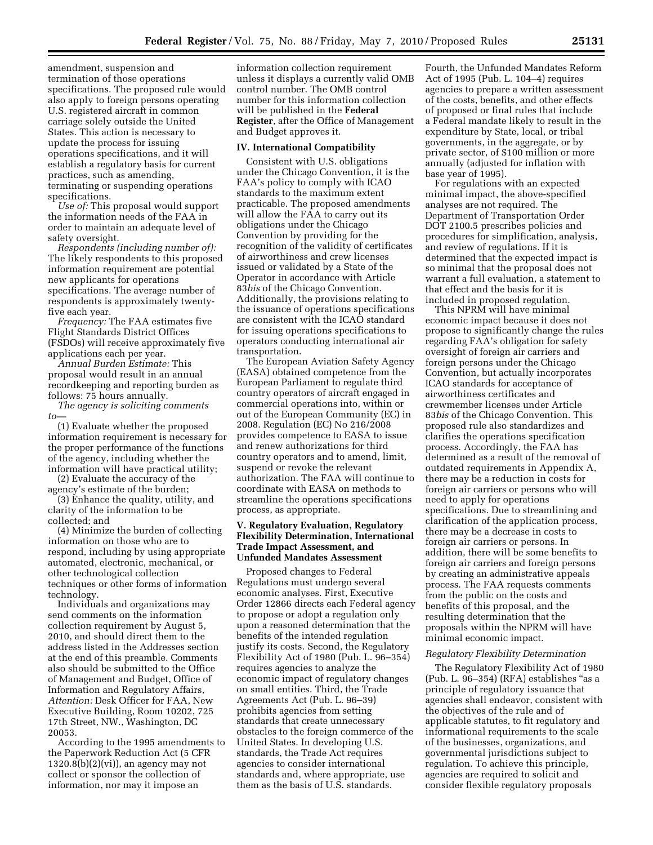amendment, suspension and termination of those operations specifications. The proposed rule would also apply to foreign persons operating U.S. registered aircraft in common carriage solely outside the United States. This action is necessary to update the process for issuing operations specifications, and it will establish a regulatory basis for current practices, such as amending, terminating or suspending operations specifications.

*Use of:* This proposal would support the information needs of the FAA in order to maintain an adequate level of safety oversight.

*Respondents (including number of):*  The likely respondents to this proposed information requirement are potential new applicants for operations specifications. The average number of respondents is approximately twentyfive each year.

*Frequency:* The FAA estimates five Flight Standards District Offices (FSDOs) will receive approximately five applications each per year.

*Annual Burden Estimate:* This proposal would result in an annual recordkeeping and reporting burden as follows: 75 hours annually.

*The agency is soliciting comments*   $to$ 

(1) Evaluate whether the proposed information requirement is necessary for the proper performance of the functions of the agency, including whether the information will have practical utility;

(2) Evaluate the accuracy of the agency's estimate of the burden;

(3) Enhance the quality, utility, and clarity of the information to be collected; and

(4) Minimize the burden of collecting information on those who are to respond, including by using appropriate automated, electronic, mechanical, or other technological collection techniques or other forms of information technology.

Individuals and organizations may send comments on the information collection requirement by August 5, 2010, and should direct them to the address listed in the Addresses section at the end of this preamble. Comments also should be submitted to the Office of Management and Budget, Office of Information and Regulatory Affairs, *Attention:* Desk Officer for FAA, New Executive Building, Room 10202, 725 17th Street, NW., Washington, DC 20053.

According to the 1995 amendments to the Paperwork Reduction Act (5 CFR 1320.8(b)(2)(vi)), an agency may not collect or sponsor the collection of information, nor may it impose an

information collection requirement unless it displays a currently valid OMB control number. The OMB control number for this information collection will be published in the **Federal Register**, after the Office of Management and Budget approves it.

### **IV. International Compatibility**

Consistent with U.S. obligations under the Chicago Convention, it is the FAA's policy to comply with ICAO standards to the maximum extent practicable. The proposed amendments will allow the FAA to carry out its obligations under the Chicago Convention by providing for the recognition of the validity of certificates of airworthiness and crew licenses issued or validated by a State of the Operator in accordance with Article 83*bis* of the Chicago Convention. Additionally, the provisions relating to the issuance of operations specifications are consistent with the ICAO standard for issuing operations specifications to operators conducting international air transportation.

The European Aviation Safety Agency (EASA) obtained competence from the European Parliament to regulate third country operators of aircraft engaged in commercial operations into, within or out of the European Community (EC) in 2008. Regulation (EC) No 216/2008 provides competence to EASA to issue and renew authorizations for third country operators and to amend, limit, suspend or revoke the relevant authorization. The FAA will continue to coordinate with EASA on methods to streamline the operations specifications process, as appropriate.

# **V. Regulatory Evaluation, Regulatory Flexibility Determination, International Trade Impact Assessment, and Unfunded Mandates Assessment**

Proposed changes to Federal Regulations must undergo several economic analyses. First, Executive Order 12866 directs each Federal agency to propose or adopt a regulation only upon a reasoned determination that the benefits of the intended regulation justify its costs. Second, the Regulatory Flexibility Act of 1980 (Pub. L. 96–354) requires agencies to analyze the economic impact of regulatory changes on small entities. Third, the Trade Agreements Act (Pub. L. 96–39) prohibits agencies from setting standards that create unnecessary obstacles to the foreign commerce of the United States. In developing U.S. standards, the Trade Act requires agencies to consider international standards and, where appropriate, use them as the basis of U.S. standards.

Fourth, the Unfunded Mandates Reform Act of 1995 (Pub. L. 104–4) requires agencies to prepare a written assessment of the costs, benefits, and other effects of proposed or final rules that include a Federal mandate likely to result in the expenditure by State, local, or tribal governments, in the aggregate, or by private sector, of \$100 million or more annually (adjusted for inflation with base year of 1995).

For regulations with an expected minimal impact, the above-specified analyses are not required. The Department of Transportation Order DOT 2100.5 prescribes policies and procedures for simplification, analysis, and review of regulations. If it is determined that the expected impact is so minimal that the proposal does not warrant a full evaluation, a statement to that effect and the basis for it is included in proposed regulation.

This NPRM will have minimal economic impact because it does not propose to significantly change the rules regarding FAA's obligation for safety oversight of foreign air carriers and foreign persons under the Chicago Convention, but actually incorporates ICAO standards for acceptance of airworthiness certificates and crewmember licenses under Article 83*bis* of the Chicago Convention. This proposed rule also standardizes and clarifies the operations specification process. Accordingly, the FAA has determined as a result of the removal of outdated requirements in Appendix A, there may be a reduction in costs for foreign air carriers or persons who will need to apply for operations specifications. Due to streamlining and clarification of the application process, there may be a decrease in costs to foreign air carriers or persons. In addition, there will be some benefits to foreign air carriers and foreign persons by creating an administrative appeals process. The FAA requests comments from the public on the costs and benefits of this proposal, and the resulting determination that the proposals within the NPRM will have minimal economic impact.

# *Regulatory Flexibility Determination*

The Regulatory Flexibility Act of 1980  $(Pub. L. 96-354) (RFA)$  establishes "as a principle of regulatory issuance that agencies shall endeavor, consistent with the objectives of the rule and of applicable statutes, to fit regulatory and informational requirements to the scale of the businesses, organizations, and governmental jurisdictions subject to regulation. To achieve this principle, agencies are required to solicit and consider flexible regulatory proposals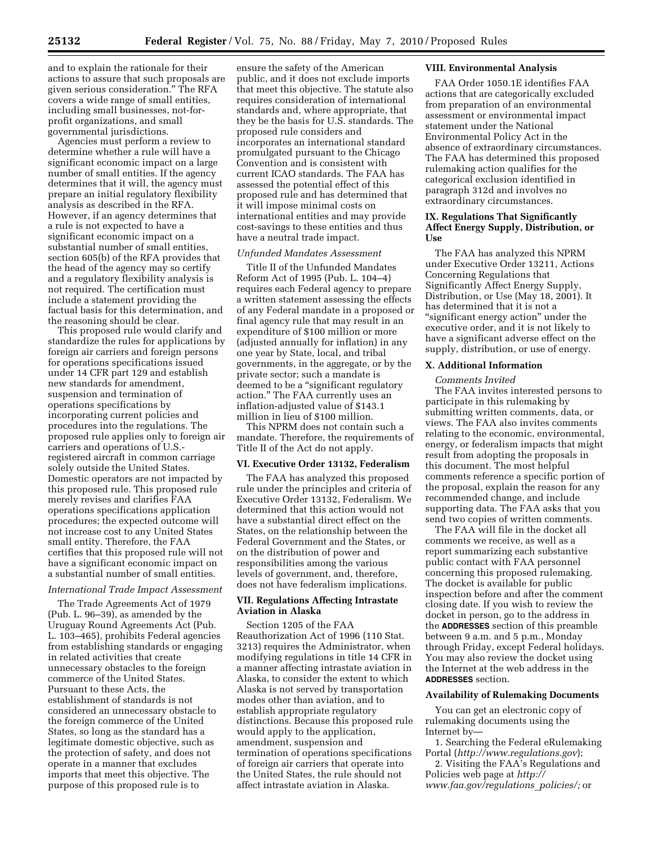and to explain the rationale for their actions to assure that such proposals are given serious consideration.'' The RFA covers a wide range of small entities, including small businesses, not-forprofit organizations, and small governmental jurisdictions.

Agencies must perform a review to determine whether a rule will have a significant economic impact on a large number of small entities. If the agency determines that it will, the agency must prepare an initial regulatory flexibility analysis as described in the RFA. However, if an agency determines that a rule is not expected to have a significant economic impact on a substantial number of small entities, section 605(b) of the RFA provides that the head of the agency may so certify and a regulatory flexibility analysis is not required. The certification must include a statement providing the factual basis for this determination, and the reasoning should be clear.

This proposed rule would clarify and standardize the rules for applications by foreign air carriers and foreign persons for operations specifications issued under 14 CFR part 129 and establish new standards for amendment, suspension and termination of operations specifications by incorporating current policies and procedures into the regulations. The proposed rule applies only to foreign air carriers and operations of U.S. registered aircraft in common carriage solely outside the United States. Domestic operators are not impacted by this proposed rule. This proposed rule merely revises and clarifies FAA operations specifications application procedures; the expected outcome will not increase cost to any United States small entity. Therefore, the FAA certifies that this proposed rule will not have a significant economic impact on a substantial number of small entities.

#### *International Trade Impact Assessment*

The Trade Agreements Act of 1979 (Pub. L. 96–39), as amended by the Uruguay Round Agreements Act (Pub. L. 103–465), prohibits Federal agencies from establishing standards or engaging in related activities that create unnecessary obstacles to the foreign commerce of the United States. Pursuant to these Acts, the establishment of standards is not considered an unnecessary obstacle to the foreign commerce of the United States, so long as the standard has a legitimate domestic objective, such as the protection of safety, and does not operate in a manner that excludes imports that meet this objective. The purpose of this proposed rule is to

ensure the safety of the American public, and it does not exclude imports that meet this objective. The statute also requires consideration of international standards and, where appropriate, that they be the basis for U.S. standards. The proposed rule considers and incorporates an international standard promulgated pursuant to the Chicago Convention and is consistent with current ICAO standards. The FAA has assessed the potential effect of this proposed rule and has determined that it will impose minimal costs on international entities and may provide cost-savings to these entities and thus have a neutral trade impact.

## *Unfunded Mandates Assessment*

Title II of the Unfunded Mandates Reform Act of 1995 (Pub. L. 104–4) requires each Federal agency to prepare a written statement assessing the effects of any Federal mandate in a proposed or final agency rule that may result in an expenditure of \$100 million or more (adjusted annually for inflation) in any one year by State, local, and tribal governments, in the aggregate, or by the private sector; such a mandate is deemed to be a ''significant regulatory action.'' The FAA currently uses an inflation-adjusted value of \$143.1 million in lieu of \$100 million.

This NPRM does not contain such a mandate. Therefore, the requirements of Title II of the Act do not apply.

## **VI. Executive Order 13132, Federalism**

The FAA has analyzed this proposed rule under the principles and criteria of Executive Order 13132, Federalism. We determined that this action would not have a substantial direct effect on the States, on the relationship between the Federal Government and the States, or on the distribution of power and responsibilities among the various levels of government, and, therefore, does not have federalism implications.

## **VII. Regulations Affecting Intrastate Aviation in Alaska**

Section 1205 of the FAA Reauthorization Act of 1996 (110 Stat. 3213) requires the Administrator, when modifying regulations in title 14 CFR in a manner affecting intrastate aviation in Alaska, to consider the extent to which Alaska is not served by transportation modes other than aviation, and to establish appropriate regulatory distinctions. Because this proposed rule would apply to the application, amendment, suspension and termination of operations specifications of foreign air carriers that operate into the United States, the rule should not affect intrastate aviation in Alaska.

# **VIII. Environmental Analysis**

FAA Order 1050.1E identifies FAA actions that are categorically excluded from preparation of an environmental assessment or environmental impact statement under the National Environmental Policy Act in the absence of extraordinary circumstances. The FAA has determined this proposed rulemaking action qualifies for the categorical exclusion identified in paragraph 312d and involves no extraordinary circumstances.

# **IX. Regulations That Significantly Affect Energy Supply, Distribution, or Use**

The FAA has analyzed this NPRM under Executive Order 13211, Actions Concerning Regulations that Significantly Affect Energy Supply, Distribution, or Use (May 18, 2001). It has determined that it is not a ''significant energy action'' under the executive order, and it is not likely to have a significant adverse effect on the supply, distribution, or use of energy.

## **X. Additional Information**

*Comments Invited*  The FAA invites interested persons to participate in this rulemaking by submitting written comments, data, or views. The FAA also invites comments relating to the economic, environmental, energy, or federalism impacts that might result from adopting the proposals in this document. The most helpful comments reference a specific portion of the proposal, explain the reason for any recommended change, and include supporting data. The FAA asks that you send two copies of written comments.

The FAA will file in the docket all comments we receive, as well as a report summarizing each substantive public contact with FAA personnel concerning this proposed rulemaking. The docket is available for public inspection before and after the comment closing date. If you wish to review the docket in person, go to the address in the **ADDRESSES** section of this preamble between 9 a.m. and 5 p.m., Monday through Friday, except Federal holidays. You may also review the docket using the Internet at the web address in the **ADDRESSES** section.

### **Availability of Rulemaking Documents**

You can get an electronic copy of rulemaking documents using the Internet by—

1. Searching the Federal eRulemaking Portal (*http://www.regulations.gov*);

2. Visiting the FAA's Regulations and Policies web page at *http:// www.faa.gov/regulations*\_*policies/;* or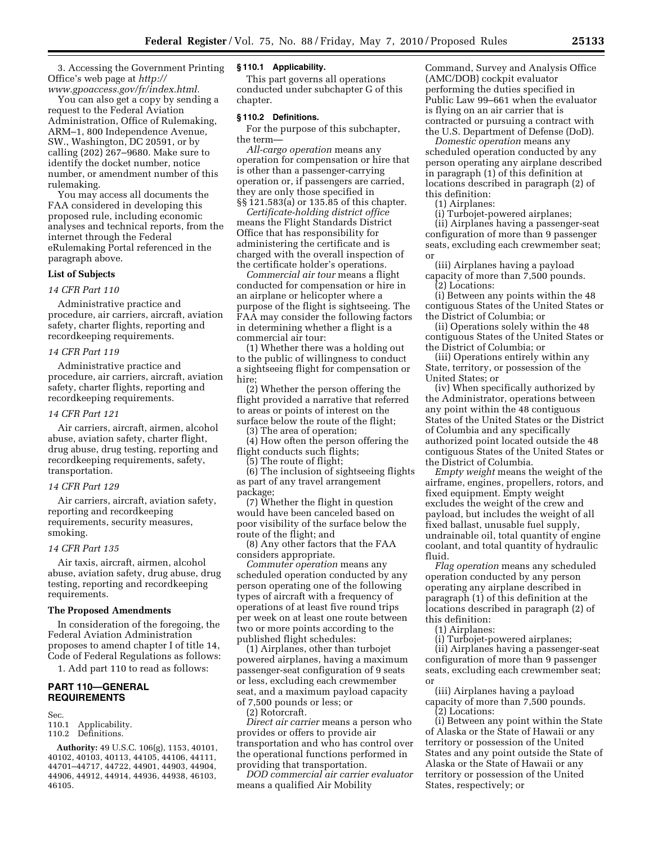3. Accessing the Government Printing Office's web page at *http:// www.gpoaccess.gov/fr/index.html.* 

You can also get a copy by sending a request to the Federal Aviation Administration, Office of Rulemaking, ARM–1, 800 Independence Avenue, SW., Washington, DC 20591, or by calling (202) 267–9680. Make sure to identify the docket number, notice number, or amendment number of this rulemaking.

You may access all documents the FAA considered in developing this proposed rule, including economic analyses and technical reports, from the internet through the Federal eRulemaking Portal referenced in the paragraph above.

## **List of Subjects**

### *14 CFR Part 110*

Administrative practice and procedure, air carriers, aircraft, aviation safety, charter flights, reporting and recordkeeping requirements.

## *14 CFR Part 119*

Administrative practice and procedure, air carriers, aircraft, aviation safety, charter flights, reporting and recordkeeping requirements.

### *14 CFR Part 121*

Air carriers, aircraft, airmen, alcohol abuse, aviation safety, charter flight, drug abuse, drug testing, reporting and recordkeeping requirements, safety, transportation.

#### *14 CFR Part 129*

Air carriers, aircraft, aviation safety, reporting and recordkeeping requirements, security measures, smoking.

#### *14 CFR Part 135*

Air taxis, aircraft, airmen, alcohol abuse, aviation safety, drug abuse, drug testing, reporting and recordkeeping requirements.

### **The Proposed Amendments**

In consideration of the foregoing, the Federal Aviation Administration proposes to amend chapter I of title 14, Code of Federal Regulations as follows:

1. Add part 110 to read as follows:

# **PART 110—GENERAL REQUIREMENTS**

Sec.

- 110.1 Applicability.
- 110.2 Definitions.

**Authority:** 49 U.S.C. 106(g), 1153, 40101, 40102, 40103, 40113, 44105, 44106, 44111, 44701–44717, 44722, 44901, 44903, 44904, 44906, 44912, 44914, 44936, 44938, 46103, 46105.

#### **§ 110.1 Applicability.**

This part governs all operations conducted under subchapter G of this chapter.

#### **§ 110.2 Definitions.**

For the purpose of this subchapter, the term—

*All-cargo operation* means any operation for compensation or hire that is other than a passenger-carrying operation or, if passengers are carried, they are only those specified in §§ 121.583(a) or 135.85 of this chapter.

*Certificate-holding district office*  means the Flight Standards District Office that has responsibility for administering the certificate and is charged with the overall inspection of the certificate holder's operations.

*Commercial air tour* means a flight conducted for compensation or hire in an airplane or helicopter where a purpose of the flight is sightseeing. The FAA may consider the following factors in determining whether a flight is a commercial air tour:

(1) Whether there was a holding out to the public of willingness to conduct a sightseeing flight for compensation or hire;

(2) Whether the person offering the flight provided a narrative that referred to areas or points of interest on the surface below the route of the flight;

(3) The area of operation;

(4) How often the person offering the flight conducts such flights;

(5) The route of flight;

(6) The inclusion of sightseeing flights as part of any travel arrangement package;

(7) Whether the flight in question would have been canceled based on poor visibility of the surface below the route of the flight; and

(8) Any other factors that the FAA considers appropriate.

*Commuter operation* means any scheduled operation conducted by any person operating one of the following types of aircraft with a frequency of operations of at least five round trips per week on at least one route between two or more points according to the published flight schedules:

(1) Airplanes, other than turbojet powered airplanes, having a maximum passenger-seat configuration of 9 seats or less, excluding each crewmember seat, and a maximum payload capacity of 7,500 pounds or less; or

(2) Rotorcraft.

*Direct air carrier* means a person who provides or offers to provide air transportation and who has control over the operational functions performed in providing that transportation.

*DOD commercial air carrier evaluator*  means a qualified Air Mobility

Command, Survey and Analysis Office (AMC/DOB) cockpit evaluator performing the duties specified in Public Law 99–661 when the evaluator is flying on an air carrier that is contracted or pursuing a contract with the U.S. Department of Defense (DoD).

*Domestic operation* means any scheduled operation conducted by any person operating any airplane described in paragraph (1) of this definition at locations described in paragraph (2) of this definition:

(1) Airplanes:

(i) Turbojet-powered airplanes;

(ii) Airplanes having a passenger-seat configuration of more than 9 passenger seats, excluding each crewmember seat; or

(iii) Airplanes having a payload capacity of more than 7,500 pounds.

(2) Locations:

(i) Between any points within the 48 contiguous States of the United States or the District of Columbia; or

(ii) Operations solely within the 48 contiguous States of the United States or the District of Columbia; or

(iii) Operations entirely within any State, territory, or possession of the United States; or

(iv) When specifically authorized by the Administrator, operations between any point within the 48 contiguous States of the United States or the District of Columbia and any specifically authorized point located outside the 48 contiguous States of the United States or the District of Columbia.

*Empty weight* means the weight of the airframe, engines, propellers, rotors, and fixed equipment. Empty weight excludes the weight of the crew and payload, but includes the weight of all fixed ballast, unusable fuel supply, undrainable oil, total quantity of engine coolant, and total quantity of hydraulic fluid.

*Flag operation* means any scheduled operation conducted by any person operating any airplane described in paragraph (1) of this definition at the locations described in paragraph (2) of this definition:

(1) Airplanes:

(i) Turbojet-powered airplanes;

(ii) Airplanes having a passenger-seat configuration of more than 9 passenger seats, excluding each crewmember seat; or

(iii) Airplanes having a payload capacity of more than 7,500 pounds. (2) Locations:

(i) Between any point within the State of Alaska or the State of Hawaii or any territory or possession of the United States and any point outside the State of Alaska or the State of Hawaii or any territory or possession of the United States, respectively; or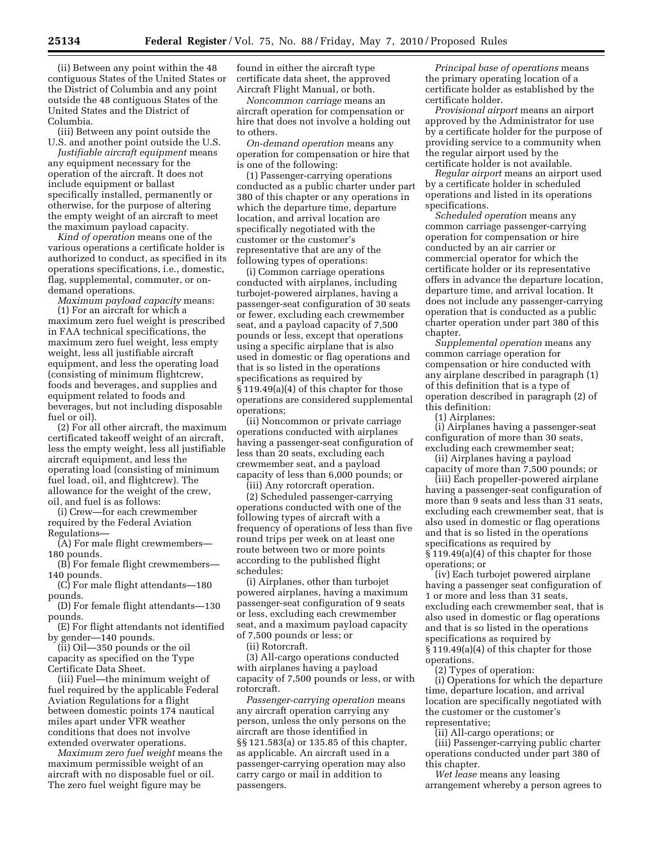(ii) Between any point within the 48 contiguous States of the United States or the District of Columbia and any point outside the 48 contiguous States of the United States and the District of Columbia.

(iii) Between any point outside the U.S. and another point outside the U.S.

*Justifiable aircraft equipment* means any equipment necessary for the operation of the aircraft. It does not include equipment or ballast specifically installed, permanently or otherwise, for the purpose of altering the empty weight of an aircraft to meet the maximum payload capacity.

*Kind of operation* means one of the various operations a certificate holder is authorized to conduct, as specified in its operations specifications, i.e., domestic, flag, supplemental, commuter, or ondemand operations.

*Maximum payload capacity* means: (1) For an aircraft for which a maximum zero fuel weight is prescribed in FAA technical specifications, the maximum zero fuel weight, less empty weight, less all justifiable aircraft equipment, and less the operating load (consisting of minimum flightcrew, foods and beverages, and supplies and equipment related to foods and beverages, but not including disposable fuel or oil).

(2) For all other aircraft, the maximum certificated takeoff weight of an aircraft, less the empty weight, less all justifiable aircraft equipment, and less the operating load (consisting of minimum fuel load, oil, and flightcrew). The allowance for the weight of the crew, oil, and fuel is as follows:

(i) Crew—for each crewmember required by the Federal Aviation Regulations—

(A) For male flight crewmembers— 180 pounds.

(B) For female flight crewmembers— 140 pounds.

(C) For male flight attendants—180 pounds.

(D) For female flight attendants—130 pounds.

(E) For flight attendants not identified by gender—140 pounds.

(ii) Oil—350 pounds or the oil capacity as specified on the Type Certificate Data Sheet.

(iii) Fuel—the minimum weight of fuel required by the applicable Federal Aviation Regulations for a flight between domestic points 174 nautical miles apart under VFR weather conditions that does not involve extended overwater operations.

*Maximum zero fuel weight* means the maximum permissible weight of an aircraft with no disposable fuel or oil. The zero fuel weight figure may be

found in either the aircraft type certificate data sheet, the approved Aircraft Flight Manual, or both.

*Noncommon carriage* means an aircraft operation for compensation or hire that does not involve a holding out to others.

*On-demand operation* means any operation for compensation or hire that is one of the following:

(1) Passenger-carrying operations conducted as a public charter under part 380 of this chapter or any operations in which the departure time, departure location, and arrival location are specifically negotiated with the customer or the customer's representative that are any of the following types of operations:

(i) Common carriage operations conducted with airplanes, including turbojet-powered airplanes, having a passenger-seat configuration of 30 seats or fewer, excluding each crewmember seat, and a payload capacity of 7,500 pounds or less, except that operations using a specific airplane that is also used in domestic or flag operations and that is so listed in the operations specifications as required by § 119.49(a)(4) of this chapter for those operations are considered supplemental operations;

(ii) Noncommon or private carriage operations conducted with airplanes having a passenger-seat configuration of less than 20 seats, excluding each crewmember seat, and a payload capacity of less than 6,000 pounds; or

(iii) Any rotorcraft operation.

(2) Scheduled passenger-carrying operations conducted with one of the following types of aircraft with a frequency of operations of less than five round trips per week on at least one route between two or more points according to the published flight schedules:

(i) Airplanes, other than turbojet powered airplanes, having a maximum passenger-seat configuration of 9 seats or less, excluding each crewmember seat, and a maximum payload capacity of 7,500 pounds or less; or

(ii) Rotorcraft.

(3) All-cargo operations conducted with airplanes having a payload capacity of 7,500 pounds or less, or with rotorcraft.

*Passenger-carrying operation* means any aircraft operation carrying any person, unless the only persons on the aircraft are those identified in §§ 121.583(a) or 135.85 of this chapter, as applicable. An aircraft used in a passenger-carrying operation may also carry cargo or mail in addition to passengers.

*Principal base of operations* means the primary operating location of a certificate holder as established by the certificate holder.

*Provisional airport* means an airport approved by the Administrator for use by a certificate holder for the purpose of providing service to a community when the regular airport used by the certificate holder is not available.

*Regular airport* means an airport used by a certificate holder in scheduled operations and listed in its operations specifications.

*Scheduled operation* means any common carriage passenger-carrying operation for compensation or hire conducted by an air carrier or commercial operator for which the certificate holder or its representative offers in advance the departure location, departure time, and arrival location. It does not include any passenger-carrying operation that is conducted as a public charter operation under part 380 of this chapter.

*Supplemental operation* means any common carriage operation for compensation or hire conducted with any airplane described in paragraph (1) of this definition that is a type of operation described in paragraph (2) of this definition:

(1) Airplanes:

(i) Airplanes having a passenger-seat configuration of more than 30 seats, excluding each crewmember seat;

(ii) Airplanes having a payload capacity of more than 7,500 pounds; or

(iii) Each propeller-powered airplane having a passenger-seat configuration of more than 9 seats and less than 31 seats, excluding each crewmember seat, that is also used in domestic or flag operations and that is so listed in the operations specifications as required by § 119.49(a)(4) of this chapter for those operations; or

(iv) Each turbojet powered airplane having a passenger seat configuration of 1 or more and less than 31 seats, excluding each crewmember seat, that is also used in domestic or flag operations and that is so listed in the operations specifications as required by § 119.49(a)(4) of this chapter for those operations.

(2) Types of operation:

(i) Operations for which the departure time, departure location, and arrival location are specifically negotiated with the customer or the customer's representative;

(ii) All-cargo operations; or

(iii) Passenger-carrying public charter operations conducted under part 380 of this chapter.

*Wet lease* means any leasing arrangement whereby a person agrees to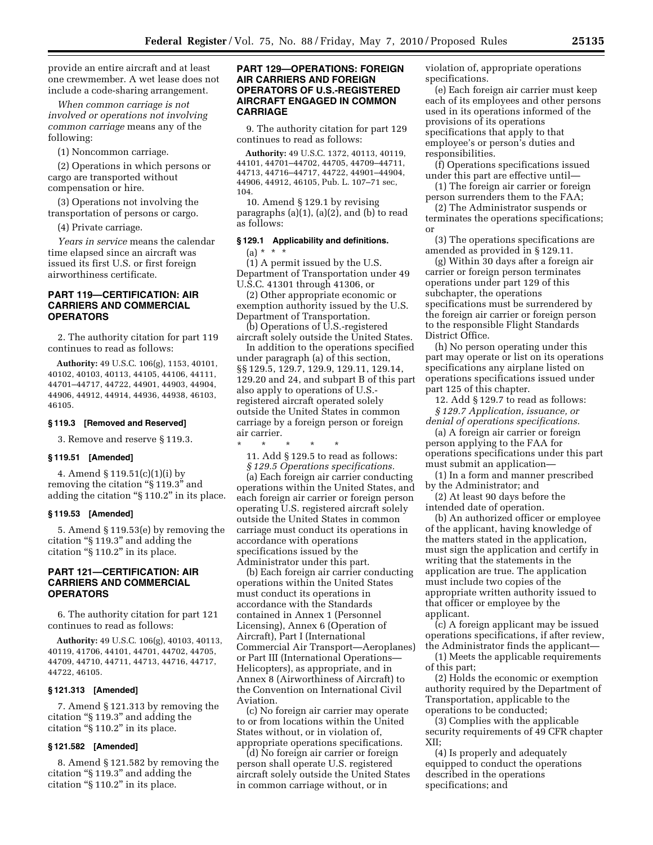provide an entire aircraft and at least one crewmember. A wet lease does not include a code-sharing arrangement.

*When common carriage is not involved or operations not involving common carriage* means any of the following:

(1) Noncommon carriage.

(2) Operations in which persons or cargo are transported without compensation or hire.

(3) Operations not involving the transportation of persons or cargo.

(4) Private carriage.

*Years in service* means the calendar time elapsed since an aircraft was issued its first U.S. or first foreign airworthiness certificate.

# **PART 119—CERTIFICATION: AIR CARRIERS AND COMMERCIAL OPERATORS**

2. The authority citation for part 119 continues to read as follows:

**Authority:** 49 U.S.C. 106(g), 1153, 40101, 40102, 40103, 40113, 44105, 44106, 44111, 44701–44717, 44722, 44901, 44903, 44904, 44906, 44912, 44914, 44936, 44938, 46103, 46105.

#### **§ 119.3 [Removed and Reserved]**

3. Remove and reserve § 119.3.

#### **§ 119.51 [Amended]**

4. Amend § 119.51(c)(1)(i) by removing the citation "§ 119.3" and adding the citation ''§ 110.2'' in its place.

#### **§ 119.53 [Amended]**

5. Amend § 119.53(e) by removing the citation ''§ 119.3'' and adding the citation ''§ 110.2'' in its place.

# **PART 121—CERTIFICATION: AIR CARRIERS AND COMMERCIAL OPERATORS**

6. The authority citation for part 121 continues to read as follows:

**Authority:** 49 U.S.C. 106(g), 40103, 40113, 40119, 41706, 44101, 44701, 44702, 44705, 44709, 44710, 44711, 44713, 44716, 44717, 44722, 46105.

## **§ 121.313 [Amended]**

7. Amend § 121.313 by removing the citation ''§ 119.3'' and adding the citation "§ 110.2" in its place.

# **§ 121.582 [Amended]**

8. Amend § 121.582 by removing the citation ''§ 119.3'' and adding the citation ''§ 110.2'' in its place.

# **PART 129—OPERATIONS: FOREIGN AIR CARRIERS AND FOREIGN OPERATORS OF U.S.-REGISTERED AIRCRAFT ENGAGED IN COMMON CARRIAGE**

9. The authority citation for part 129 continues to read as follows:

**Authority:** 49 U.S.C. 1372, 40113, 40119, 44101, 44701–44702, 44705, 44709–44711, 44713, 44716–44717, 44722, 44901–44904, 44906, 44912, 46105, Pub. L. 107–71 sec, 104.

10. Amend § 129.1 by revising paragraphs (a)(1), (a)(2), and (b) to read as follows:

## **§ 129.1 Applicability and definitions.**

 $(a) * * * *$ 

(1) A permit issued by the U.S. Department of Transportation under 49 U.S.C. 41301 through 41306, or

(2) Other appropriate economic or exemption authority issued by the U.S. Department of Transportation.

(b) Operations of U.S.-registered aircraft solely outside the United States.

In addition to the operations specified under paragraph (a) of this section, §§ 129.5, 129.7, 129.9, 129.11, 129.14, 129.20 and 24, and subpart B of this part also apply to operations of U.S. registered aircraft operated solely outside the United States in common carriage by a foreign person or foreign air carrier.

\* \* \* \* \* 11. Add § 129.5 to read as follows:

*§ 129.5 Operations specifications.* 

(a) Each foreign air carrier conducting operations within the United States, and each foreign air carrier or foreign person operating U.S. registered aircraft solely outside the United States in common carriage must conduct its operations in accordance with operations specifications issued by the Administrator under this part.

(b) Each foreign air carrier conducting operations within the United States must conduct its operations in accordance with the Standards contained in Annex 1 (Personnel Licensing), Annex 6 (Operation of Aircraft), Part I (International Commercial Air Transport—Aeroplanes) or Part III (International Operations— Helicopters), as appropriate, and in Annex 8 (Airworthiness of Aircraft) to the Convention on International Civil Aviation.

(c) No foreign air carrier may operate to or from locations within the United States without, or in violation of, appropriate operations specifications.

(d) No foreign air carrier or foreign person shall operate U.S. registered aircraft solely outside the United States in common carriage without, or in

violation of, appropriate operations specifications.

(e) Each foreign air carrier must keep each of its employees and other persons used in its operations informed of the provisions of its operations specifications that apply to that employee's or person's duties and responsibilities.

(f) Operations specifications issued under this part are effective until—

(1) The foreign air carrier or foreign person surrenders them to the FAA;

(2) The Administrator suspends or terminates the operations specifications; or

(3) The operations specifications are amended as provided in § 129.11.

(g) Within 30 days after a foreign air carrier or foreign person terminates operations under part 129 of this subchapter, the operations specifications must be surrendered by the foreign air carrier or foreign person to the responsible Flight Standards District Office.

(h) No person operating under this part may operate or list on its operations specifications any airplane listed on operations specifications issued under part 125 of this chapter.

12. Add § 129.7 to read as follows: *§ 129.7 Application, issuance, or* 

*denial of operations specifications.*  (a) A foreign air carrier or foreign person applying to the FAA for operations specifications under this part must submit an application—

(1) In a form and manner prescribed by the Administrator; and

(2) At least 90 days before the intended date of operation.

(b) An authorized officer or employee of the applicant, having knowledge of the matters stated in the application, must sign the application and certify in writing that the statements in the application are true. The application must include two copies of the appropriate written authority issued to that officer or employee by the applicant.

(c) A foreign applicant may be issued operations specifications, if after review, the Administrator finds the applicant—

(1) Meets the applicable requirements of this part;

(2) Holds the economic or exemption authority required by the Department of Transportation, applicable to the operations to be conducted;

(3) Complies with the applicable security requirements of 49 CFR chapter XII;

(4) Is properly and adequately equipped to conduct the operations described in the operations specifications; and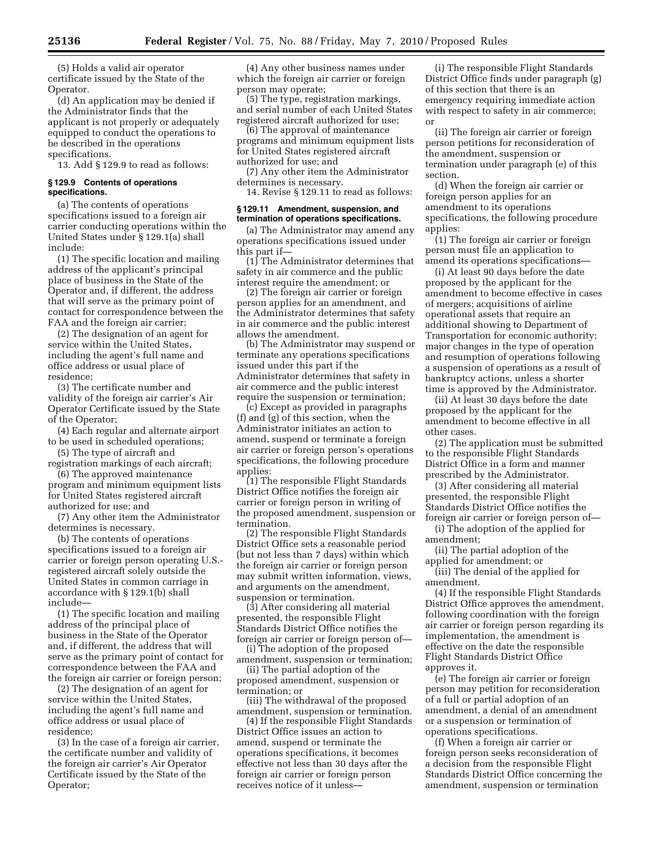(5) Holds a valid air operator certificate issued by the State of the Operator.

(d) An application may be denied if the Administrator finds that the applicant is not properly or adequately equipped to conduct the operations to be described in the operations specifications.

13. Add § 129.9 to read as follows:

### **§ 129.9 Contents of operations specifications.**

(a) The contents of operations specifications issued to a foreign air carrier conducting operations within the United States under § 129.1(a) shall include:

(1) The specific location and mailing address of the applicant's principal place of business in the State of the Operator and, if different, the address that will serve as the primary point of contact for correspondence between the FAA and the foreign air carrier;

(2) The designation of an agent for service within the United States, including the agent's full name and office address or usual place of residence;

(3) The certificate number and validity of the foreign air carrier's Air Operator Certificate issued by the State of the Operator;

(4) Each regular and alternate airport to be used in scheduled operations;

(5) The type of aircraft and registration markings of each aircraft;

(6) The approved maintenance program and minimum equipment lists for United States registered aircraft authorized for use; and

(7) Any other item the Administrator determines is necessary.

(b) The contents of operations specifications issued to a foreign air carrier or foreign person operating U.S. registered aircraft solely outside the United States in common carriage in accordance with § 129.1(b) shall include—

(1) The specific location and mailing address of the principal place of business in the State of the Operator and, if different, the address that will serve as the primary point of contact for correspondence between the FAA and the foreign air carrier or foreign person;

(2) The designation of an agent for service within the United States, including the agent's full name and office address or usual place of residence;

(3) In the case of a foreign air carrier, the certificate number and validity of the foreign air carrier's Air Operator Certificate issued by the State of the Operator;

(4) Any other business names under which the foreign air carrier or foreign person may operate;

(5) The type, registration markings, and serial number of each United States registered aircraft authorized for use;

(6) The approval of maintenance programs and minimum equipment lists for United States registered aircraft authorized for use; and

(7) Any other item the Administrator determines is necessary.

14. Revise § 129.11 to read as follows:

### **§ 129.11 Amendment, suspension, and termination of operations specifications.**

(a) The Administrator may amend any operations specifications issued under this part if—

(1) The Administrator determines that safety in air commerce and the public interest require the amendment; or

(2) The foreign air carrier or foreign person applies for an amendment, and the Administrator determines that safety in air commerce and the public interest allows the amendment.

(b) The Administrator may suspend or terminate any operations specifications issued under this part if the Administrator determines that safety in air commerce and the public interest require the suspension or termination;

(c) Except as provided in paragraphs (f) and (g) of this section, when the Administrator initiates an action to amend, suspend or terminate a foreign air carrier or foreign person's operations specifications, the following procedure applies:

(1) The responsible Flight Standards District Office notifies the foreign air carrier or foreign person in writing of the proposed amendment, suspension or termination.

(2) The responsible Flight Standards District Office sets a reasonable period (but not less than 7 days) within which the foreign air carrier or foreign person may submit written information, views, and arguments on the amendment, suspension or termination.

(3) After considering all material presented, the responsible Flight Standards District Office notifies the foreign air carrier or foreign person of—

(i) The adoption of the proposed amendment, suspension or termination;

(ii) The partial adoption of the proposed amendment, suspension or termination; or

(iii) The withdrawal of the proposed amendment, suspension or termination.

(4) If the responsible Flight Standards District Office issues an action to amend, suspend or terminate the operations specifications, it becomes effective not less than 30 days after the foreign air carrier or foreign person receives notice of it unless—

(i) The responsible Flight Standards District Office finds under paragraph (g) of this section that there is an emergency requiring immediate action with respect to safety in air commerce; or

(ii) The foreign air carrier or foreign person petitions for reconsideration of the amendment, suspension or termination under paragraph (e) of this section.

(d) When the foreign air carrier or foreign person applies for an amendment to its operations specifications, the following procedure applies:

(1) The foreign air carrier or foreign person must file an application to amend its operations specifications—

(i) At least 90 days before the date proposed by the applicant for the amendment to become effective in cases of mergers; acquisitions of airline operational assets that require an additional showing to Department of Transportation for economic authority; major changes in the type of operation and resumption of operations following a suspension of operations as a result of bankruptcy actions, unless a shorter time is approved by the Administrator.

(ii) At least 30 days before the date proposed by the applicant for the amendment to become effective in all other cases.

(2) The application must be submitted to the responsible Flight Standards District Office in a form and manner prescribed by the Administrator.

(3) After considering all material presented, the responsible Flight Standards District Office notifies the foreign air carrier or foreign person of—

(i) The adoption of the applied for amendment;

(ii) The partial adoption of the applied for amendment; or

(iii) The denial of the applied for amendment.

(4) If the responsible Flight Standards District Office approves the amendment, following coordination with the foreign air carrier or foreign person regarding its implementation, the amendment is effective on the date the responsible Flight Standards District Office approves it.

(e) The foreign air carrier or foreign person may petition for reconsideration of a full or partial adoption of an amendment, a denial of an amendment or a suspension or termination of operations specifications.

(f) When a foreign air carrier or foreign person seeks reconsideration of a decision from the responsible Flight Standards District Office concerning the amendment, suspension or termination